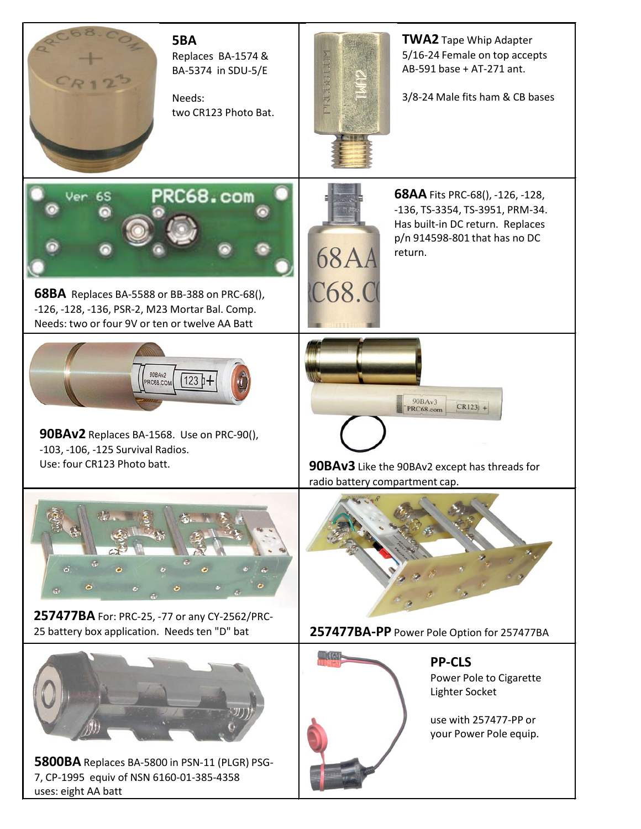